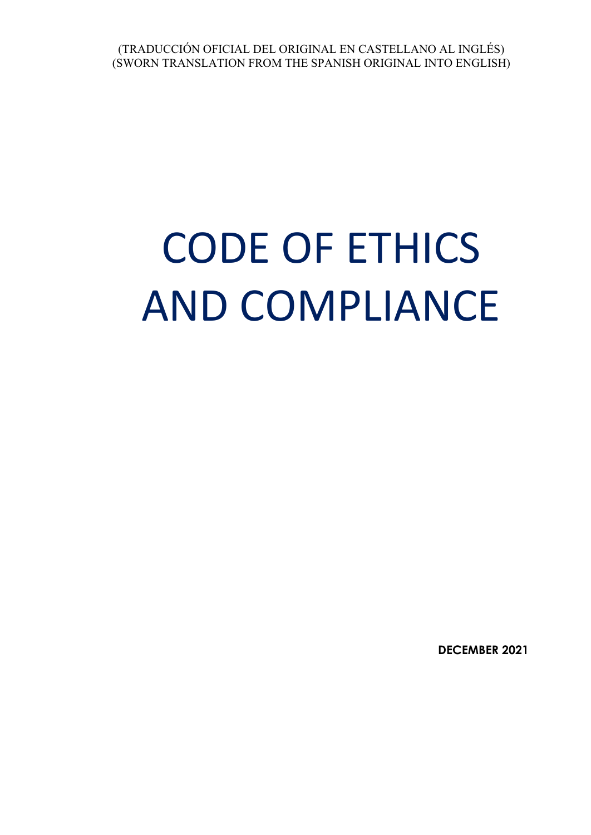# CODE OF ETHICS AND COMPLIANCE

**DECEMBER 2021**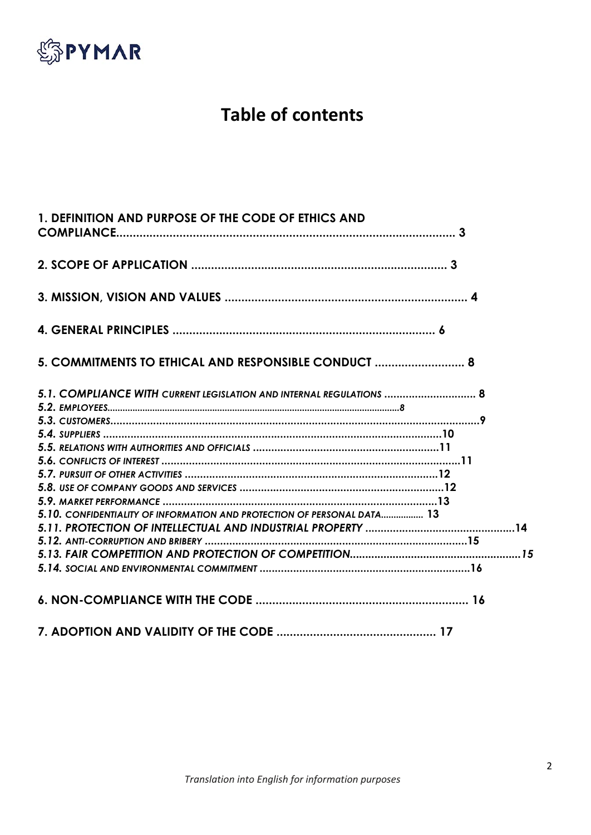

# **Table of contents**

| 1. DEFINITION AND PURPOSE OF THE CODE OF ETHICS AND                     |  |
|-------------------------------------------------------------------------|--|
|                                                                         |  |
|                                                                         |  |
|                                                                         |  |
| 5. COMMITMENTS TO ETHICAL AND RESPONSIBLE CONDUCT  8                    |  |
| 5.1. COMPLIANCE WITH CURRENT LEGISLATION AND INTERNAL REGULATIONS  8    |  |
|                                                                         |  |
|                                                                         |  |
|                                                                         |  |
|                                                                         |  |
|                                                                         |  |
|                                                                         |  |
|                                                                         |  |
|                                                                         |  |
| 5.10. CONFIDENTIALITY OF INFORMATION AND PROTECTION OF PERSONAL DATA 13 |  |
|                                                                         |  |
|                                                                         |  |
|                                                                         |  |
|                                                                         |  |
|                                                                         |  |
|                                                                         |  |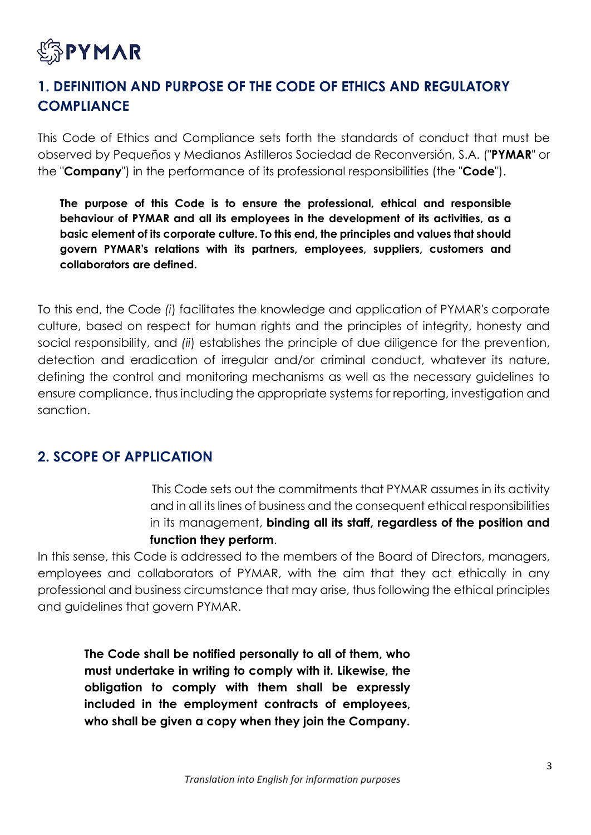

# **1. DEFINITION AND PURPOSE OF THE CODE OF ETHICS AND REGULATORY COMPLIANCE**

This Code of Ethics and Compliance sets forth the standards of conduct that must be observed by Pequeños y Medianos Astilleros Sociedad de Reconversión, S.A. ("**PYMAR**" or the "**Company**") in the performance of its professional responsibilities (the "**Code**").

**The purpose of this Code is to ensure the professional, ethical and responsible behaviour of PYMAR and all its employees in the development of its activities, as a basic element of its corporate culture. To this end, the principles and values that should govern PYMAR's relations with its partners, employees, suppliers, customers and collaborators are defined.**

To this end, the Code *(i*) facilitates the knowledge and application of PYMAR's corporate culture, based on respect for human rights and the principles of integrity, honesty and social responsibility, and *(ii*) establishes the principle of due diligence for the prevention, detection and eradication of irregular and/or criminal conduct, whatever its nature, defining the control and monitoring mechanisms as well as the necessary guidelines to ensure compliance, thus including the appropriate systems for reporting, investigation and sanction.

## **2. SCOPE OF APPLICATION**

This Code sets out the commitments that PYMAR assumes in its activity and in all its lines of business and the consequent ethical responsibilities in its management, **binding all its staff, regardless of the position and function they perform**.

In this sense, this Code is addressed to the members of the Board of Directors, managers, employees and collaborators of PYMAR, with the aim that they act ethically in any professional and business circumstance that may arise, thus following the ethical principles and guidelines that govern PYMAR.

**The Code shall be notified personally to all of them, who must undertake in writing to comply with it. Likewise, the obligation to comply with them shall be expressly included in the employment contracts of employees, who shall be given a copy when they join the Company.**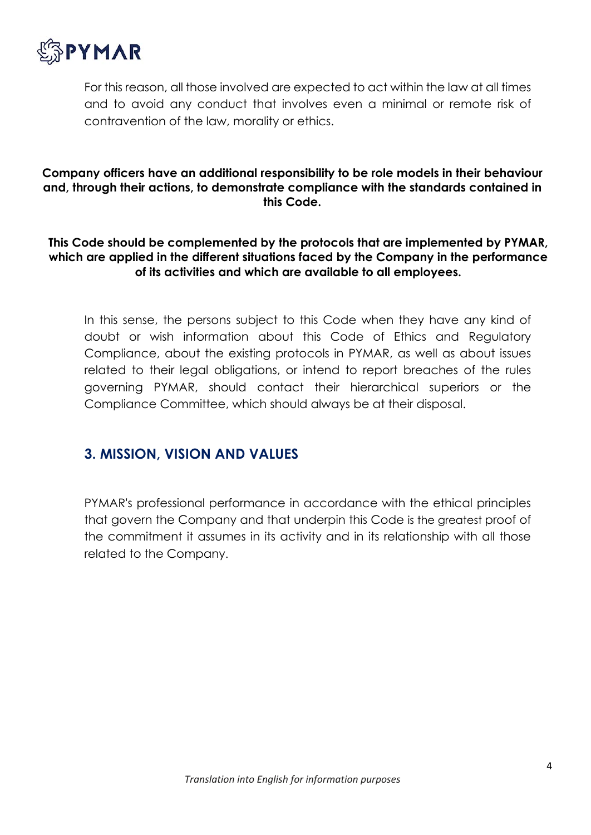

For this reason, all those involved are expected to act within the law at all times and to avoid any conduct that involves even a minimal or remote risk of contravention of the law, morality or ethics.

#### **Company officers have an additional responsibility to be role models in their behaviour and, through their actions, to demonstrate compliance with the standards contained in this Code.**

#### **This Code should be complemented by the protocols that are implemented by PYMAR, which are applied in the different situations faced by the Company in the performance of its activities and which are available to all employees.**

In this sense, the persons subject to this Code when they have any kind of doubt or wish information about this Code of Ethics and Regulatory Compliance, about the existing protocols in PYMAR, as well as about issues related to their legal obligations, or intend to report breaches of the rules governing PYMAR, should contact their hierarchical superiors or the Compliance Committee, which should always be at their disposal.

## **3. MISSION, VISION AND VALUES**

PYMAR's professional performance in accordance with the ethical principles that govern the Company and that underpin this Code is the greatest proof of the commitment it assumes in its activity and in its relationship with all those related to the Company.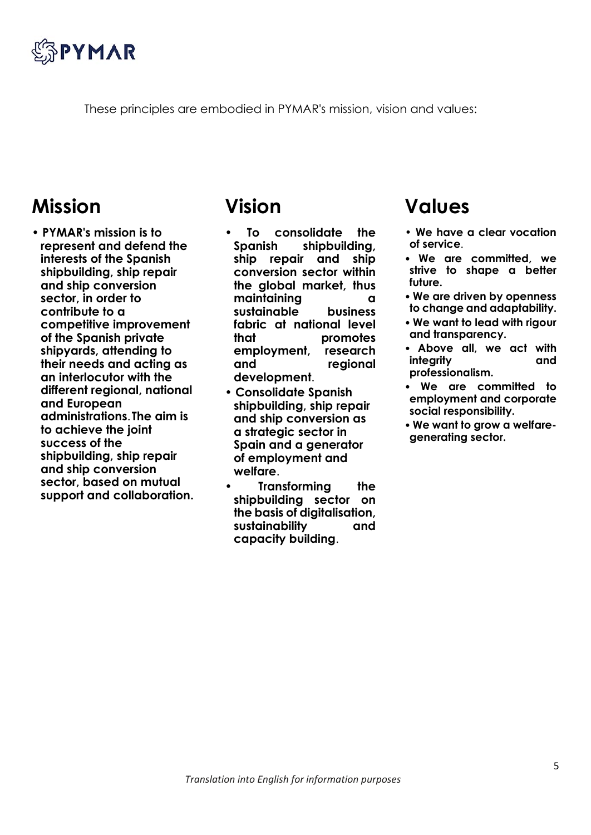

These principles are embodied in PYMAR's mission, vision and values:

# **Mission**

• **PYMAR's mission is to represent and defend the interests of the Spanish shipbuilding, ship repair and ship conversion sector, in order to contribute to a competitive improvement of the Spanish private shipyards, attending to their needs and acting as an interlocutor with the different regional, national and European administrations**.**The aim is to achieve the joint success of the shipbuilding, ship repair and ship conversion sector, based on mutual support and collaboration.**

# **Vision**

- **To consolidate the Spanish shipbuilding, ship repair and ship conversion sector within the global market, thus maintaining a sustainable business fabric at national level that promotes employment, research and regional development**.
- **Consolidate Spanish shipbuilding, ship repair and ship conversion as a strategic sector in Spain and a generator of employment and welfare**.
- **Transforming the shipbuilding sector on the basis of digitalisation, sustainability and capacity building**.

# **Values**

- **We have a clear vocation of service**.
- **We are committed, we strive to shape a better future.**
- **We are driven by openness to change and adaptability.**
- **We want to lead with rigour and transparency.**
- **Above all, we act with integrity professionalism.**
- **We are committed to employment and corporate social responsibility.**
- **We want to grow a welfaregenerating sector.**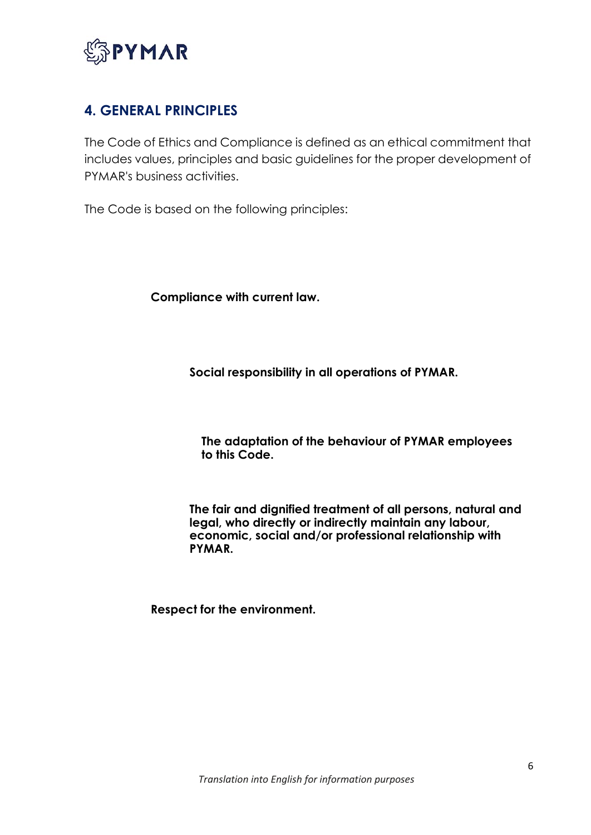

# **4. GENERAL PRINCIPLES**

The Code of Ethics and Compliance is defined as an ethical commitment that includes values, principles and basic guidelines for the proper development of PYMAR's business activities.

The Code is based on the following principles:

**Compliance with current law.**

**Social responsibility in all operations of PYMAR.**

**The adaptation of the behaviour of PYMAR employees to this Code.**

**The fair and dignified treatment of all persons, natural and legal, who directly or indirectly maintain any labour, economic, social and/or professional relationship with PYMAR.**

**Respect for the environment.**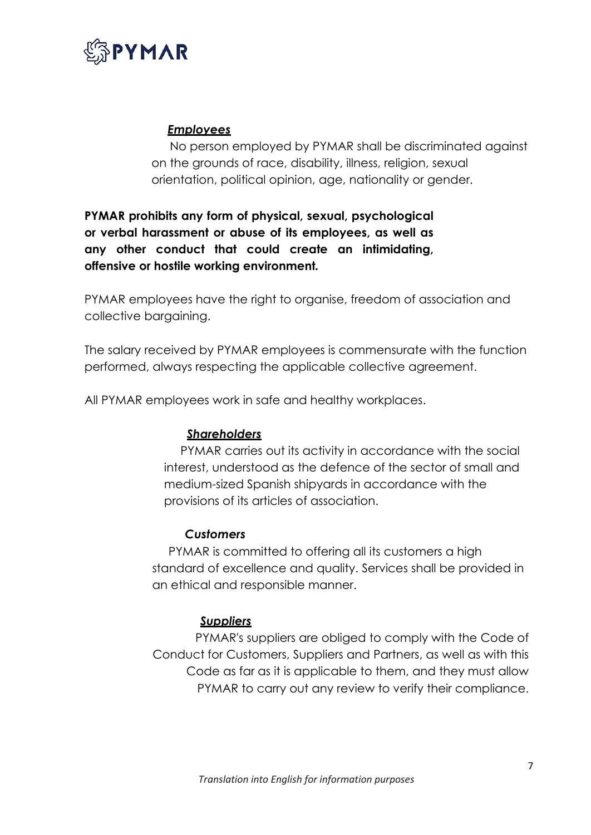

#### *Employees*

No person employed by PYMAR shall be discriminated against on the grounds of race, disability, illness, religion, sexual orientation, political opinion, age, nationality or gender.

**PYMAR prohibits any form of physical, sexual, psychological or verbal harassment or abuse of its employees, as well as any other conduct that could create an intimidating, offensive or hostile working environment***.*

PYMAR employees have the right to organise, freedom of association and collective bargaining.

The salary received by PYMAR employees is commensurate with the function performed, always respecting the applicable collective agreement.

All PYMAR employees work in safe and healthy workplaces.

#### *Shareholders*

PYMAR carries out its activity in accordance with the social interest, understood as the defence of the sector of small and medium-sized Spanish shipyards in accordance with the provisions of its articles of association.

#### *Customers*

PYMAR is committed to offering all its customers a high standard of excellence and quality. Services shall be provided in an ethical and responsible manner.

#### *Suppliers*

PYMAR's suppliers are obliged to comply with the Code of Conduct for Customers, Suppliers and Partners, as well as with this Code as far as it is applicable to them, and they must allow PYMAR to carry out any review to verify their compliance.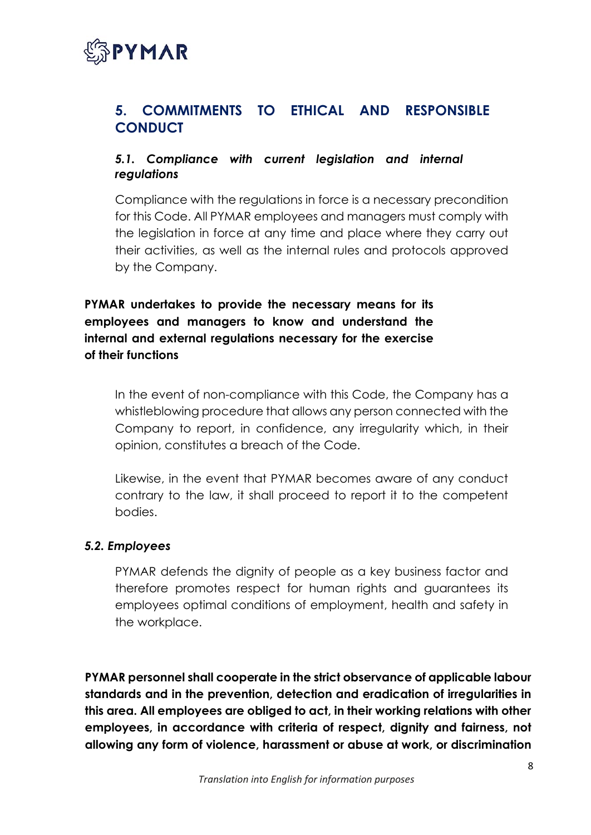

## **5. COMMITMENTS TO ETHICAL AND RESPONSIBLE CONDUCT**

#### *5.1. Compliance with current legislation and internal regulations*

Compliance with the regulations in force is a necessary precondition for this Code. All PYMAR employees and managers must comply with the legislation in force at any time and place where they carry out their activities, as well as the internal rules and protocols approved by the Company.

**PYMAR undertakes to provide the necessary means for its employees and managers to know and understand the internal and external regulations necessary for the exercise of their functions**

In the event of non-compliance with this Code, the Company has a whistleblowing procedure that allows any person connected with the Company to report, in confidence, any irregularity which, in their opinion, constitutes a breach of the Code.

Likewise, in the event that PYMAR becomes aware of any conduct contrary to the law, it shall proceed to report it to the competent bodies.

#### *5.2. Employees*

PYMAR defends the dignity of people as a key business factor and therefore promotes respect for human rights and guarantees its employees optimal conditions of employment, health and safety in the workplace.

**PYMAR personnel shall cooperate in the strict observance of applicable labour standards and in the prevention, detection and eradication of irregularities in this area. All employees are obliged to act, in their working relations with other employees, in accordance with criteria of respect, dignity and fairness, not allowing any form of violence, harassment or abuse at work, or discrimination**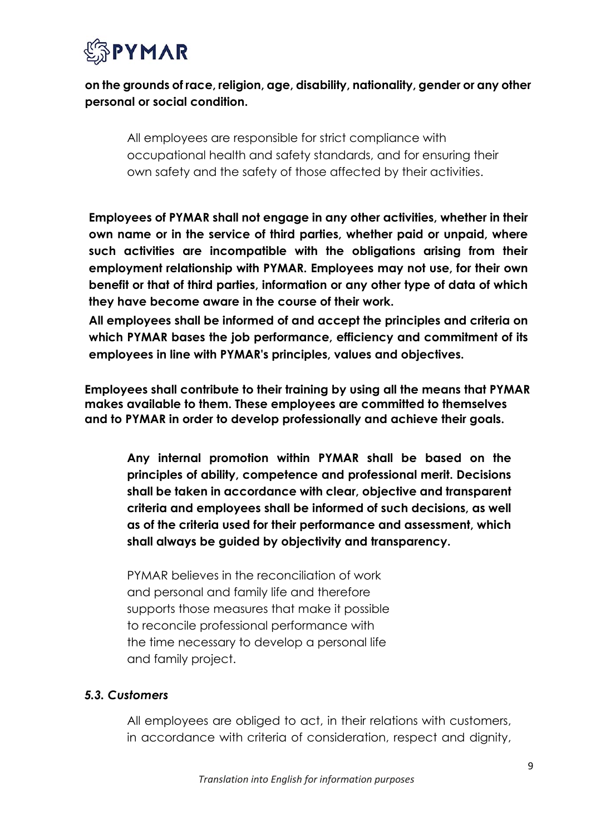

## **on the grounds of race, religion, age, disability, nationality, gender or any other personal or social condition.**

All employees are responsible for strict compliance with occupational health and safety standards, and for ensuring their own safety and the safety of those affected by their activities.

**Employees of PYMAR shall not engage in any other activities, whether in their own name or in the service of third parties, whether paid or unpaid, where such activities are incompatible with the obligations arising from their employment relationship with PYMAR. Employees may not use, for their own benefit or that of third parties, information or any other type of data of which they have become aware in the course of their work.**

**All employees shall be informed of and accept the principles and criteria on which PYMAR bases the job performance, efficiency and commitment of its employees in line with PYMAR's principles, values and objectives.**

**Employees shall contribute to their training by using all the means that PYMAR makes available to them. These employees are committed to themselves and to PYMAR in order to develop professionally and achieve their goals.**

**Any internal promotion within PYMAR shall be based on the principles of ability, competence and professional merit. Decisions shall be taken in accordance with clear, objective and transparent criteria and employees shall be informed of such decisions, as well as of the criteria used for their performance and assessment, which shall always be guided by objectivity and transparency.**

PYMAR believes in the reconciliation of work and personal and family life and therefore supports those measures that make it possible to reconcile professional performance with the time necessary to develop a personal life and family project.

#### *5.3. Customers*

All employees are obliged to act, in their relations with customers, in accordance with criteria of consideration, respect and dignity,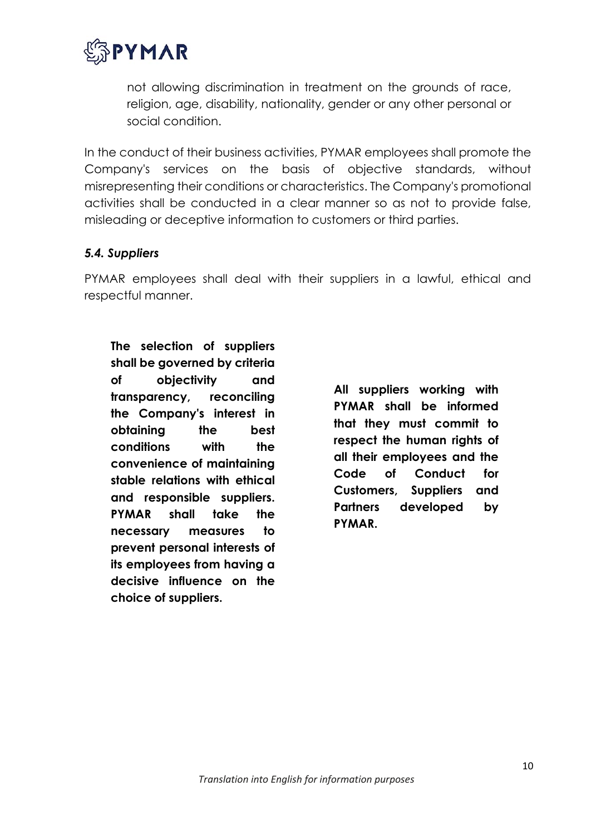

not allowing discrimination in treatment on the grounds of race, religion, age, disability, nationality, gender or any other personal or social condition.

In the conduct of their business activities, PYMAR employees shall promote the Company's services on the basis of objective standards, without misrepresenting their conditions or characteristics. The Company's promotional activities shall be conducted in a clear manner so as not to provide false, misleading or deceptive information to customers or third parties.

#### *5.4. Suppliers*

PYMAR employees shall deal with their suppliers in a lawful, ethical and respectful manner.

**The selection of suppliers shall be governed by criteria of objectivity and transparency, reconciling the Company's interest in obtaining the best conditions with the convenience of maintaining stable relations with ethical and responsible suppliers. PYMAR shall take the necessary measures to prevent personal interests of its employees from having a decisive influence on the choice of suppliers.**

**All suppliers working with PYMAR shall be informed that they must commit to respect the human rights of all their employees and the Code of Conduct for Customers, Suppliers and Partners developed by PYMAR.**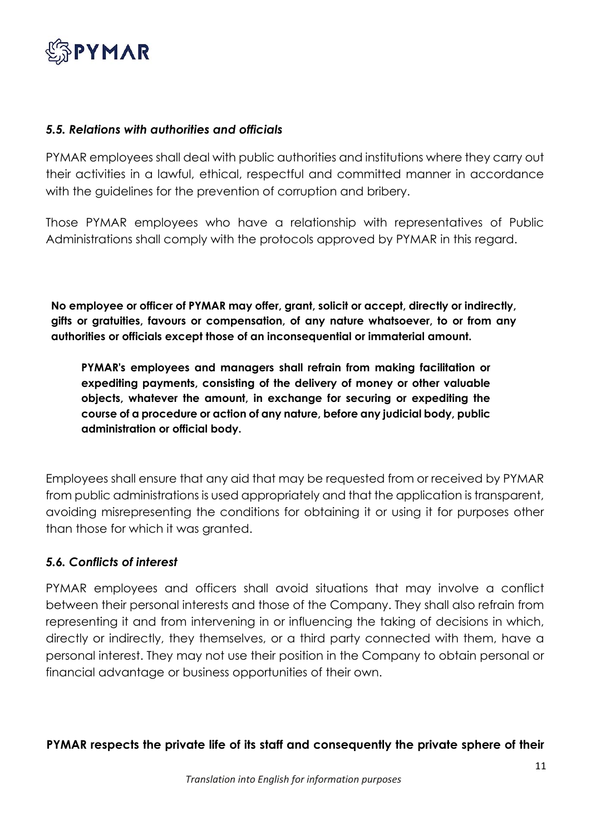

#### *5.5. Relations with authorities and officials*

PYMAR employees shall deal with public authorities and institutions where they carry out their activities in a lawful, ethical, respectful and committed manner in accordance with the guidelines for the prevention of corruption and bribery.

Those PYMAR employees who have a relationship with representatives of Public Administrations shall comply with the protocols approved by PYMAR in this regard.

**No employee or officer of PYMAR may offer, grant, solicit or accept, directly or indirectly, gifts or gratuities, favours or compensation, of any nature whatsoever, to or from any authorities or officials except those of an inconsequential or immaterial amount.**

**PYMAR's employees and managers shall refrain from making facilitation or expediting payments, consisting of the delivery of money or other valuable objects, whatever the amount, in exchange for securing or expediting the course of a procedure or action of any nature, before any judicial body, public administration or official body.**

Employees shall ensure that any aid that may be requested from or received by PYMAR from public administrations is used appropriately and that the application is transparent, avoiding misrepresenting the conditions for obtaining it or using it for purposes other than those for which it was granted.

#### *5.6. Conflicts of interest*

PYMAR employees and officers shall avoid situations that may involve a conflict between their personal interests and those of the Company. They shall also refrain from representing it and from intervening in or influencing the taking of decisions in which, directly or indirectly, they themselves, or a third party connected with them, have a personal interest. They may not use their position in the Company to obtain personal or financial advantage or business opportunities of their own.

**PYMAR respects the private life of its staff and consequently the private sphere of their**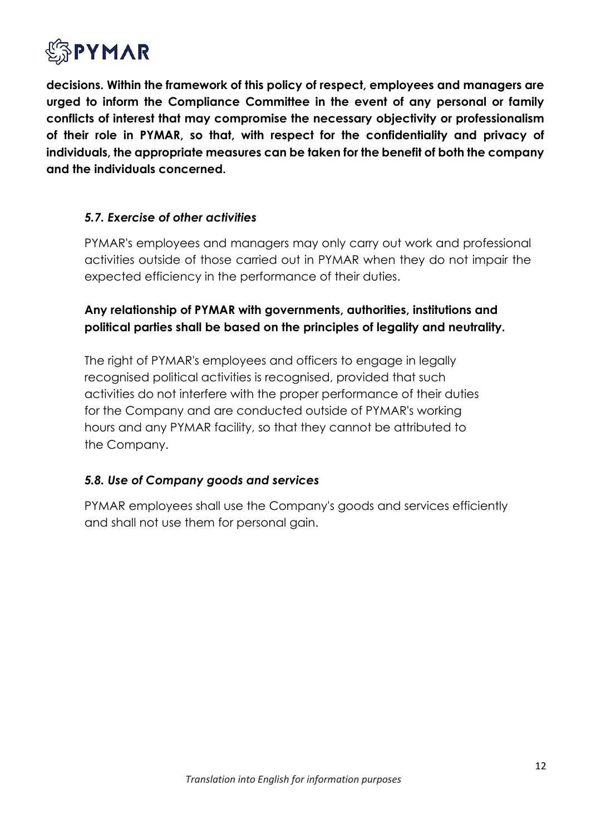

**decisions. Within the framework of this policy of respect, employees and managers are urged to inform the Compliance Committee in the event of any personal or family conflicts of interest that may compromise the necessary objectivity or professionalism of their role in PYMAR, so that, with respect for the confidentiality and privacy of individuals, the appropriate measures can be taken for the benefit of both the company and the individuals concerned.**

#### *5.7. Exercise of other activities*

PYMAR's employees and managers may only carry out work and professional activities outside of those carried out in PYMAR when they do not impair the expected efficiency in the performance of their duties.

#### **Any relationship of PYMAR with governments, authorities, institutions and political parties shall be based on the principles of legality and neutrality.**

The right of PYMAR's employees and officers to engage in legally recognised political activities is recognised, provided that such activities do not interfere with the proper performance of their duties for the Company and are conducted outside of PYMAR's working hours and any PYMAR facility, so that they cannot be attributed to the Company.

#### *5.8. Use of Company goods and services*

PYMAR employees shall use the Company's goods and services efficiently and shall not use them for personal gain.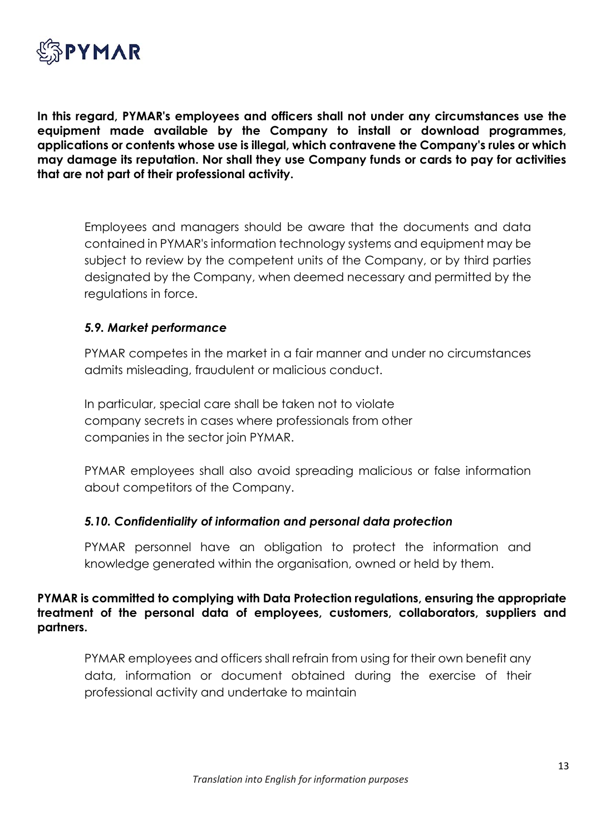

**In this regard, PYMAR's employees and officers shall not under any circumstances use the equipment made available by the Company to install or download programmes, applications or contents whose use is illegal, which contravene the Company's rules or which may damage its reputation. Nor shall they use Company funds or cards to pay for activities that are not part of their professional activity.**

Employees and managers should be aware that the documents and data contained in PYMAR's information technology systems and equipment may be subject to review by the competent units of the Company, or by third parties designated by the Company, when deemed necessary and permitted by the regulations in force.

#### *5.9. Market performance*

PYMAR competes in the market in a fair manner and under no circumstances admits misleading, fraudulent or malicious conduct.

In particular, special care shall be taken not to violate company secrets in cases where professionals from other companies in the sector join PYMAR.

PYMAR employees shall also avoid spreading malicious or false information about competitors of the Company.

#### *5.10. Confidentiality of information and personal data protection*

PYMAR personnel have an obligation to protect the information and knowledge generated within the organisation, owned or held by them.

**PYMAR is committed to complying with Data Protection regulations, ensuring the appropriate treatment of the personal data of employees, customers, collaborators, suppliers and partners.**

PYMAR employees and officers shall refrain from using for their own benefit any data, information or document obtained during the exercise of their professional activity and undertake to maintain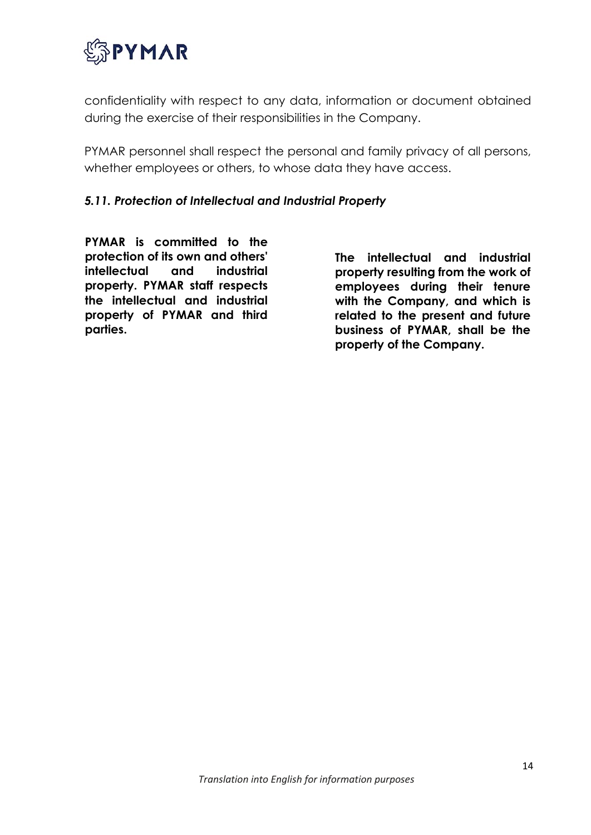

confidentiality with respect to any data, information or document obtained during the exercise of their responsibilities in the Company.

PYMAR personnel shall respect the personal and family privacy of all persons, whether employees or others, to whose data they have access.

#### *5.11. Protection of Intellectual and Industrial Property*

**PYMAR is committed to the protection of its own and others' intellectual and industrial property. PYMAR staff respects the intellectual and industrial property of PYMAR and third parties.**

**The intellectual and industrial property resulting from the work of employees during their tenure with the Company, and which is related to the present and future business of PYMAR, shall be the property of the Company.**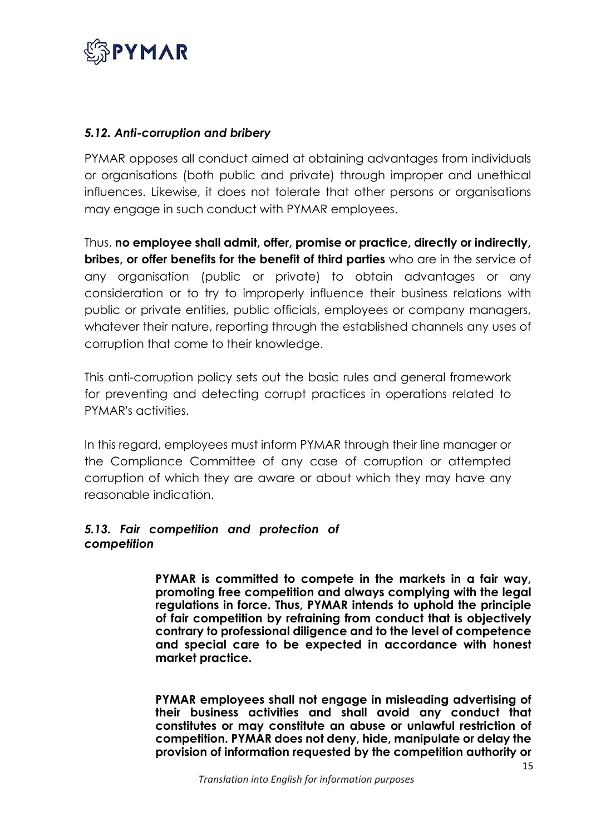

#### *5.12. Anti-corruption and bribery*

PYMAR opposes all conduct aimed at obtaining advantages from individuals or organisations (both public and private) through improper and unethical influences. Likewise, it does not tolerate that other persons or organisations may engage in such conduct with PYMAR employees.

Thus, **no employee shall admit, offer, promise or practice, directly or indirectly, bribes, or offer benefits for the benefit of third parties** who are in the service of any organisation (public or private) to obtain advantages or any consideration or to try to improperly influence their business relations with public or private entities, public officials, employees or company managers, whatever their nature, reporting through the established channels any uses of corruption that come to their knowledge.

This anti-corruption policy sets out the basic rules and general framework for preventing and detecting corrupt practices in operations related to PYMAR's activities.

In this regard, employees must inform PYMAR through their line manager or the Compliance Committee of any case of corruption or attempted corruption of which they are aware or about which they may have any reasonable indication.

#### *5.13. Fair competition and protection of competition*

**PYMAR is committed to compete in the markets in a fair way, promoting free competition and always complying with the legal regulations in force. Thus, PYMAR intends to uphold the principle of fair competition by refraining from conduct that is objectively contrary to professional diligence and to the level of competence and special care to be expected in accordance with honest market practice.**

**PYMAR employees shall not engage in misleading advertising of their business activities and shall avoid any conduct that constitutes or may constitute an abuse or unlawful restriction of competition. PYMAR does not deny, hide, manipulate or delay the provision of information requested by the competition authority or**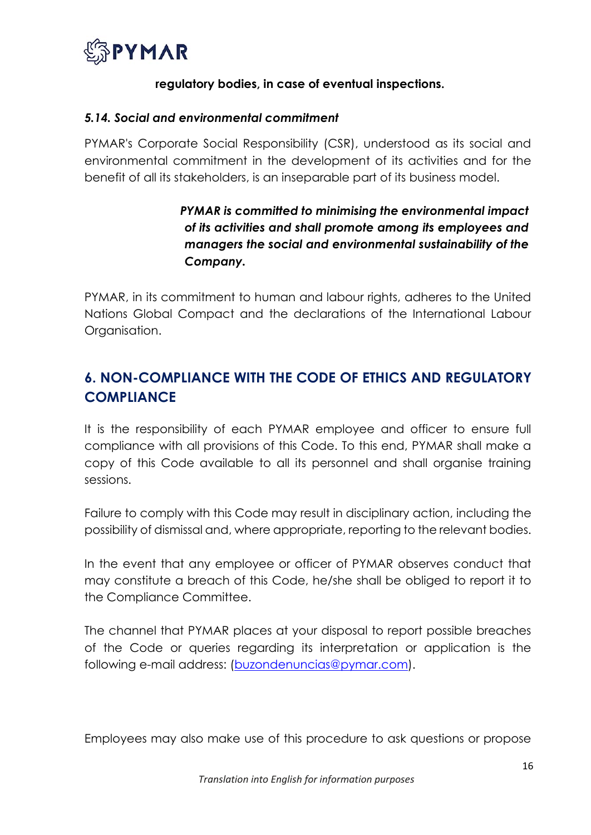

#### **regulatory bodies, in case of eventual inspections.**

#### *5.14. Social and environmental commitment*

PYMAR's Corporate Social Responsibility (CSR), understood as its social and environmental commitment in the development of its activities and for the benefit of all its stakeholders, is an inseparable part of its business model.

## *PYMAR is committed to minimising the environmental impact of its activities and shall promote among its employees and managers the social and environmental sustainability of the Company.*

PYMAR, in its commitment to human and labour rights, adheres to the United Nations Global Compact and the declarations of the International Labour Organisation.

# **6. NON-COMPLIANCE WITH THE CODE OF ETHICS AND REGULATORY COMPLIANCE**

It is the responsibility of each PYMAR employee and officer to ensure full compliance with all provisions of this Code. To this end, PYMAR shall make a copy of this Code available to all its personnel and shall organise training sessions.

Failure to comply with this Code may result in disciplinary action, including the possibility of dismissal and, where appropriate, reporting to the relevant bodies.

In the event that any employee or officer of PYMAR observes conduct that may constitute a breach of this Code, he/she shall be obliged to report it to the Compliance Committee.

The channel that PYMAR places at your disposal to report possible breaches of the Code or queries regarding its interpretation or application is the following e-mail address: [\(buzondenuncias@pymar.c](mailto:buzondenuncias@pymar.es)om).

Employees may also make use of this procedure to ask questions or propose